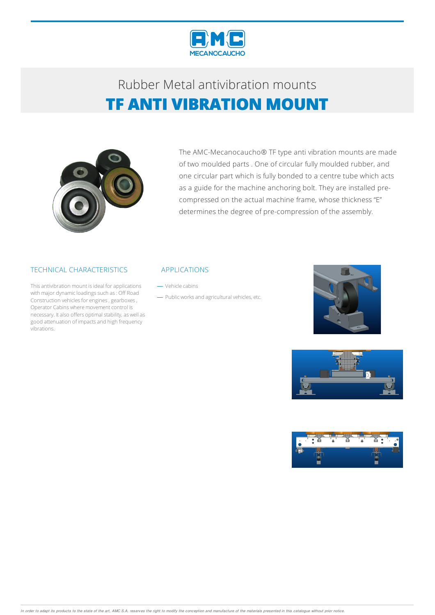

## Rubber Metalantivibration mounts **TF ANTI VIBRATION MOUNT**



The AMC-Mecanocaucho® TF type anti vibration mounts are made of two moulded parts . One of circular fully moulded rubber, and one circular part which is fully bonded to a centre tube which acts as a guide for the machine anchoring bolt. They are installed precompressed on the actual machine frame, whose thickness "E" determines the degree of pre-compression of the assembly.

### TECHNICAL CHARACTERISTICS

This antivibration mount is ideal for applications with major dynamic loadings such as: Off Road Construction vehicles for engines, gearboxes, Operator Cabins where movement control is necessary. It also offers optimal stability, as well as good attenuation of impacts and high frequency vibrations.

### APPLICATIONS

- Vehicle cabins

- Public works and agricultural vehicles, etc.





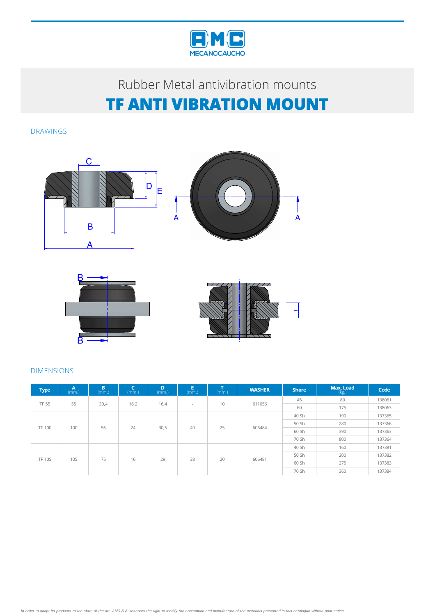

# Rubber Metalantivibration mounts **TF ANTI VIBRATION MOUNT**

DRAWINGS







## DIMENSIONS

| <b>Type</b>   | A<br>(mm.) | B<br>(mm.) | (mm.) | D<br>(mm.) | Ε<br>(mm.) | $\mathbf{r}$<br>(mm.) | <b>WASHER</b> | <b>Shore</b> | Max. Load<br>(kg.) | Code   |
|---------------|------------|------------|-------|------------|------------|-----------------------|---------------|--------------|--------------------|--------|
| <b>TF 55</b>  | 55         | 39,4       | 16,2  | 16,4       | $\sim$     | 10                    | 611056        | 45           | 80                 | 138061 |
|               |            |            |       |            |            |                       |               | 60           | 175                | 138063 |
| <b>TF 100</b> | 100        | 56         | 24    | 30,5       | 40         | 25                    | 606484        | 40 Sh        | 190                | 137365 |
|               |            |            |       |            |            |                       |               | 50 Sh        | 280                | 137366 |
|               |            |            |       |            |            |                       |               | 60 Sh        | 390                | 137363 |
|               |            |            |       |            |            |                       |               | 70 Sh        | 800                | 137364 |
| <b>TF 105</b> | 105        | 75         | 16    | 29         | 38         | 20                    | 606481        | 40 Sh        | 160                | 137381 |
|               |            |            |       |            |            |                       |               | 50 Sh        | 200                | 137382 |
|               |            |            |       |            |            |                       |               | 60 Sh        | 275                | 137383 |
|               |            |            |       |            |            |                       |               | 70 Sh        | 360                | 137384 |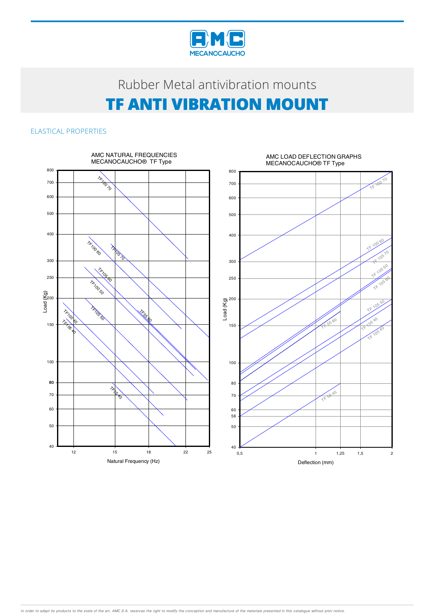

# Rubber Metal antivibration mounts **TF ANTI VIBRATION MOUNT**

### ELASTICAL PROPERTIES